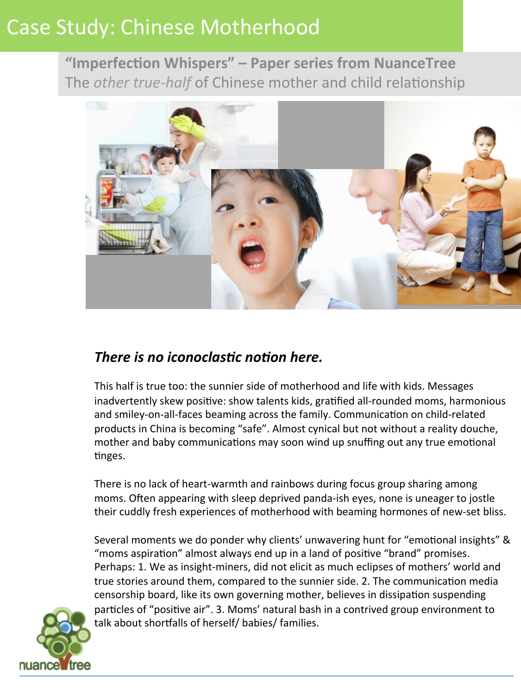"Imperfection Whispers" - Paper series from NuanceTree The *other true-half* of Chinese mother and child relationship



## *There is no iconoclastic notion here.*

This half is true too: the sunnier side of motherhood and life with kids. Messages inadvertently skew positive: show talents kids, gratified all-rounded moms, harmonious and smiley-on-all-faces beaming across the family. Communication on child-related products in China is becoming "safe". Almost cynical but not without a reality douche, mother and baby communications may soon wind up snuffing out any true emotional tinges.

There is no lack of heart-warmth and rainbows during focus group sharing among moms. Often appearing with sleep deprived panda-ish eyes, none is uneager to jostle their cuddly fresh experiences of motherhood with beaming hormones of new-set bliss.

Several moments we do ponder why clients' unwavering hunt for "emotional insights" & "moms aspiration" almost always end up in a land of positive "brand" promises. Perhaps: 1. We as insight-miners, did not elicit as much eclipses of mothers' world and true stories around them, compared to the sunnier side. 2. The communication media censorship board, like its own governing mother, believes in dissipation suspending particles of "positive air". 3. Moms' natural bash in a contrived group environment to talk about shortfalls of herself/ babies/ families.

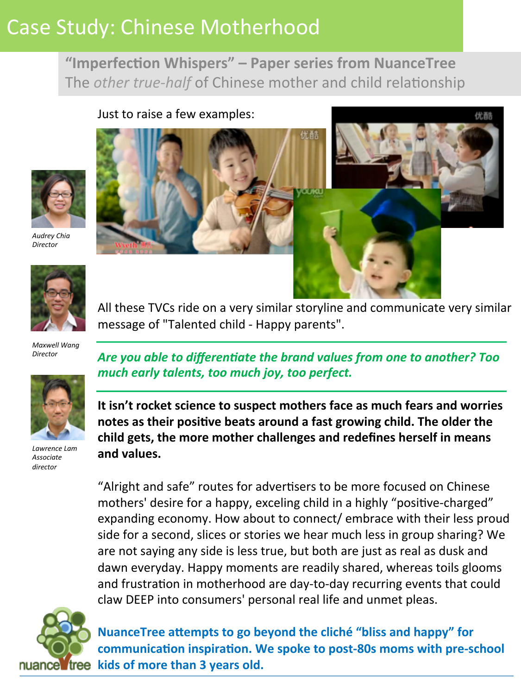"Imperfection Whispers" – Paper series from NuanceTree The *other true-half* of Chinese mother and child relationship



*Audrey Chia Director*



*Maxwell Wang* 

*Director*



*Lawrence Lam Associate director*

All these TVCs ride on a very similar storyline and communicate very similar message of "Talented child - Happy parents".

Are you able to differentiate the brand values from one to another? Too much early talents, too much joy, too perfect.

It isn't rocket science to suspect mothers face as much fears and worries notes as their positive beats around a fast growing child. The older the child gets, the more mother challenges and redefines herself in means and values.

"Alright and safe" routes for advertisers to be more focused on Chinese mothers' desire for a happy, exceling child in a highly "positive-charged" expanding economy. How about to connect/ embrace with their less proud side for a second, slices or stories we hear much less in group sharing? We are not saying any side is less true, but both are just as real as dusk and dawn everyday. Happy moments are readily shared, whereas toils glooms and frustration in motherhood are day-to-day recurring events that could claw DEEP into consumers' personal real life and unmet pleas.



**NuanceTree attempts to go beyond the cliché "bliss and happy" for** communication inspiration. We spoke to post-80s moms with pre-school nuance free kids of more than 3 years old.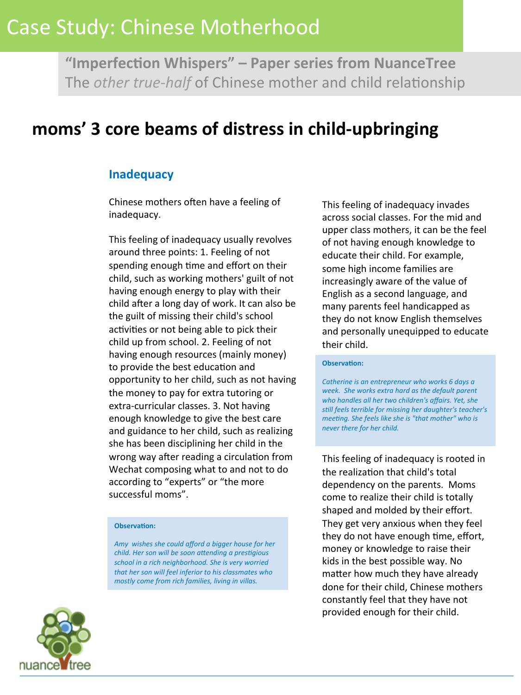"Imperfection Whispers" - Paper series from NuanceTree The *other true-half* of Chinese mother and child relationship

## moms' 3 core beams of distress in child-upbringing

### **Inadequacy**

Chinese mothers often have a feeling of inadequacy. 

This feeling of inadequacy usually revolves around three points: 1. Feeling of not spending enough time and effort on their child, such as working mothers' guilt of not having enough energy to play with their child after a long day of work. It can also be the guilt of missing their child's school activities or not being able to pick their child up from school. 2. Feeling of not having enough resources (mainly money) to provide the best education and opportunity to her child, such as not having the money to pay for extra tutoring or extra-curricular classes. 3. Not having enough knowledge to give the best care and guidance to her child, such as realizing she has been disciplining her child in the wrong way after reading a circulation from Wechat composing what to and not to do according to "experts" or "the more successful moms".

### **Observation:**

Amy wishes she could afford a bigger house for her *child.* Her son will be soon attending a prestigious school in a rich neighborhood. She is very worried that her son will feel inferior to his classmates who *mostly come from rich families, living in villas.* 

This feeling of inadequacy invades across social classes. For the mid and upper class mothers, it can be the feel of not having enough knowledge to educate their child. For example, some high income families are increasingly aware of the value of English as a second language, and many parents feel handicapped as they do not know English themselves and personally unequipped to educate their child.

#### **Observation:**

Catherine is an entrepreneur who works 6 days a week. She works extra hard as the default parent who handles all her two children's affairs. Yet, she still feels terrible for missing her daughter's teacher's *meeting.* She feels like she is "that mother" who is *never there for her child.* 

This feeling of inadequacy is rooted in the realization that child's total dependency on the parents. Moms come to realize their child is totally shaped and molded by their effort. They get very anxious when they feel they do not have enough time, effort, money or knowledge to raise their kids in the best possible way. No matter how much they have already done for their child. Chinese mothers constantly feel that they have not provided enough for their child.

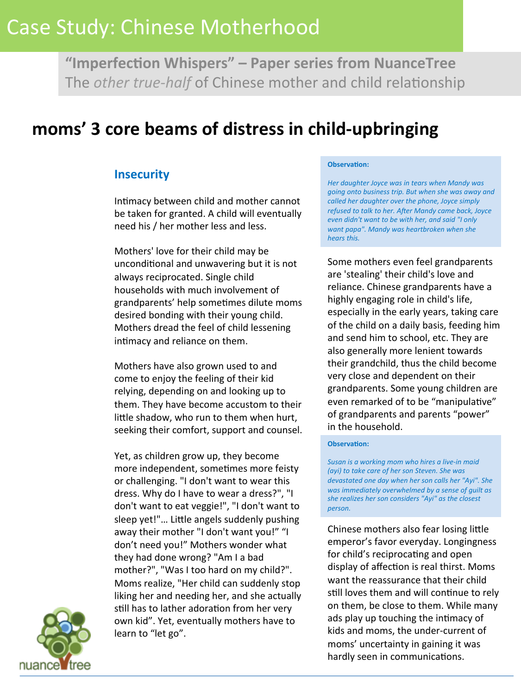"Imperfection Whispers" – Paper series from NuanceTree The *other true-half* of Chinese mother and child relationship

## moms' 3 core beams of distress in child-upbringing

### **Insecurity**

Intimacy between child and mother cannot be taken for granted. A child will eventually need his / her mother less and less.

Mothers' love for their child may be unconditional and unwavering but it is not always reciprocated. Single child households with much involvement of grandparents' help sometimes dilute moms desired bonding with their young child. Mothers dread the feel of child lessening intimacy and reliance on them.

Mothers have also grown used to and come to enjoy the feeling of their kid relying, depending on and looking up to them. They have become accustom to their little shadow, who run to them when hurt, seeking their comfort, support and counsel.

Yet, as children grow up, they become more independent, sometimes more feisty or challenging. "I don't want to wear this dress. Why do I have to wear a dress?", "I don't want to eat veggie!", "I don't want to sleep yet!"... Little angels suddenly pushing away their mother "I don't want you!" "I don't need you!" Mothers wonder what they had done wrong? "Am I a bad mother?", "Was I too hard on my child?". Moms realize, "Her child can suddenly stop liking her and needing her, and she actually still has to lather adoration from her very own kid". Yet, eventually mothers have to learn to "let go".

#### **Observation:**

Her daughter Joyce was in tears when Mandy was *going onto business trip. But when she was away and* called her daughter over the phone, Joyce simply refused to talk to her. After Mandy came back, Joyce *even didn't want to be with her, and said "I only* want papa". Mandy was heartbroken when she *hears this.* 

Some mothers even feel grandparents are 'stealing' their child's love and reliance. Chinese grandparents have a highly engaging role in child's life, especially in the early years, taking care of the child on a daily basis, feeding him and send him to school, etc. They are also generally more lenient towards their grandchild, thus the child become very close and dependent on their grandparents. Some young children are even remarked of to be "manipulative" of grandparents and parents "power" in the household.

#### **Observation:**

Susan is a working mom who hires a live-in maid *(ayi)* to take care of her son Steven. She was *devastated one day when her son calls her "Ayi". She* was immediately overwhelmed by a sense of guilt as she realizes her son considers "Ayi" as the closest *person.* 

Chinese mothers also fear losing little emperor's favor everyday. Longingness for child's reciprocating and open display of affection is real thirst. Moms want the reassurance that their child still loves them and will continue to rely on them, be close to them. While many ads play up touching the intimacy of kids and moms, the under-current of moms' uncertainty in gaining it was hardly seen in communications.

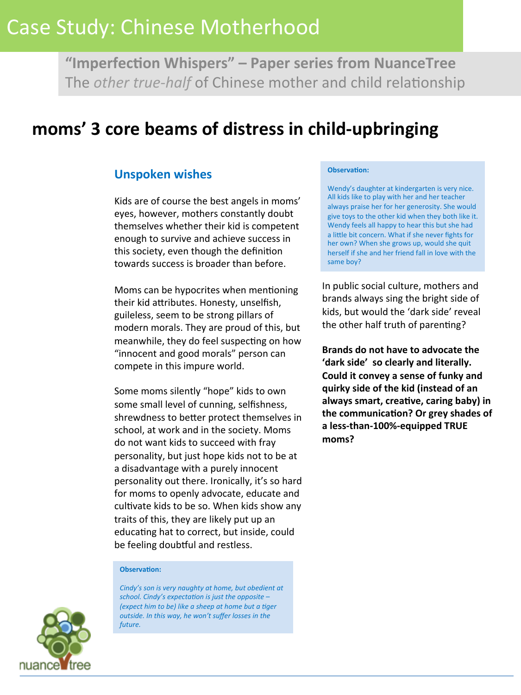"Imperfection Whispers" - Paper series from NuanceTree The *other true-half* of Chinese mother and child relationship

## moms' 3 core beams of distress in child-upbringing

### **Unspoken wishes**

Kids are of course the best angels in moms' eyes, however, mothers constantly doubt themselves whether their kid is competent enough to survive and achieve success in this society, even though the definition towards success is broader than before.

Moms can be hypocrites when mentioning their kid attributes. Honesty, unselfish, guileless, seem to be strong pillars of modern morals. They are proud of this, but meanwhile, they do feel suspecting on how "innocent and good morals" person can compete in this impure world.

Some moms silently "hope" kids to own some small level of cunning, selfishness, shrewdness to better protect themselves in school, at work and in the society. Moms do not want kids to succeed with fray personality, but just hope kids not to be at a disadvantage with a purely innocent personality out there. Ironically, it's so hard for moms to openly advocate, educate and cultivate kids to be so. When kids show any traits of this, they are likely put up an educating hat to correct, but inside, could be feeling doubtful and restless.

#### **Observation:**

*Cindy's* son is very naughty at home, but obedient at school. Cindy's expectation is just the opposite -*(expect him to be)* like a sheep at home but a tiger *outside. In this way, he won't suffer losses in the* future.

#### **Observation:**

Wendy's daughter at kindergarten is very nice. All kids like to play with her and her teacher always praise her for her generosity. She would give toys to the other kid when they both like it. Wendy feels all happy to hear this but she had a little bit concern. What if she never fights for her own? When she grows up, would she quit herself if she and her friend fall in love with the same boy?

In public social culture, mothers and brands always sing the bright side of kids, but would the 'dark side' reveal the other half truth of parenting?

**Brands do not have to advocate the** 'dark side' so clearly and literally. Could it convey a sense of funky and **quirky side of the kid (instead of an**  always smart, creative, caring baby) in the communication? Or grey shades of a less-than-100%-equipped TRUE **moms?** 

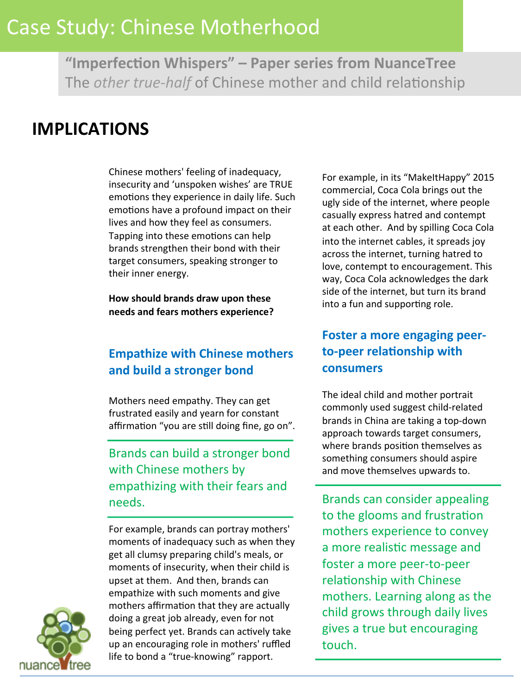"Imperfection Whispers" - Paper series from NuanceTree The *other true-half* of Chinese mother and child relationship

## **IMPLICATIONS**

j.

Chinese mothers' feeling of inadequacy, insecurity and 'unspoken wishes' are TRUE emotions they experience in daily life. Such emotions have a profound impact on their lives and how they feel as consumers. Tapping into these emotions can help brands strengthen their bond with their target consumers, speaking stronger to their inner energy.

How should brands draw upon these **needs and fears mothers experience?** 

### **Empathize with Chinese mothers** and build a stronger bond

Mothers need empathy. They can get frustrated easily and yearn for constant affirmation "you are still doing fine, go on".

Brands can build a stronger bond with Chinese mothers by empathizing with their fears and needs. 

For example, brands can portray mothers' moments of inadequacy such as when they get all clumsy preparing child's meals, or moments of insecurity, when their child is upset at them. And then, brands can empathize with such moments and give mothers affirmation that they are actually doing a great job already, even for not being perfect yet. Brands can actively take up an encouraging role in mothers' ruffled life to bond a "true-knowing" rapport.

For example, in its "MakeItHappy" 2015 commercial, Coca Cola brings out the ugly side of the internet, where people casually express hatred and contempt at each other. And by spilling Coca Cola into the internet cables, it spreads joy across the internet, turning hatred to love, contempt to encouragement. This way, Coca Cola acknowledges the dark side of the internet, but turn its brand into a fun and supporting role.

### **Foster a more engaging peer**to-peer relationship with **consumers**

The ideal child and mother portrait commonly used suggest child-related brands in China are taking a top-down approach towards target consumers, where brands position themselves as something consumers should aspire and move themselves upwards to.

Brands can consider appealing to the glooms and frustration mothers experience to convey a more realistic message and foster a more peer-to-peer relationship with Chinese mothers. Learning along as the child grows through daily lives gives a true but encouraging touch.